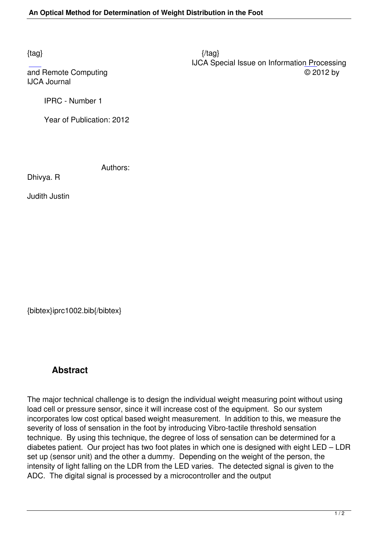$\{tag\}$  IJCA Special Issue on Information Processing and Remote Computing  $\heartsuit$  2012 by

IJCA Journal

IPRC - Number 1

Year of Publication: 2012

Authors:

Dhivya. R

Judith Justin

{bibtex}iprc1002.bib{/bibtex}

## **Abstract**

The major technical challenge is to design the individual weight measuring point without using load cell or pressure sensor, since it will increase cost of the equipment. So our system incorporates low cost optical based weight measurement. In addition to this, we measure the severity of loss of sensation in the foot by introducing Vibro-tactile threshold sensation technique. By using this technique, the degree of loss of sensation can be determined for a diabetes patient. Our project has two foot plates in which one is designed with eight LED – LDR set up (sensor unit) and the other a dummy. Depending on the weight of the person, the intensity of light falling on the LDR from the LED varies. The detected signal is given to the ADC. The digital signal is processed by a microcontroller and the output